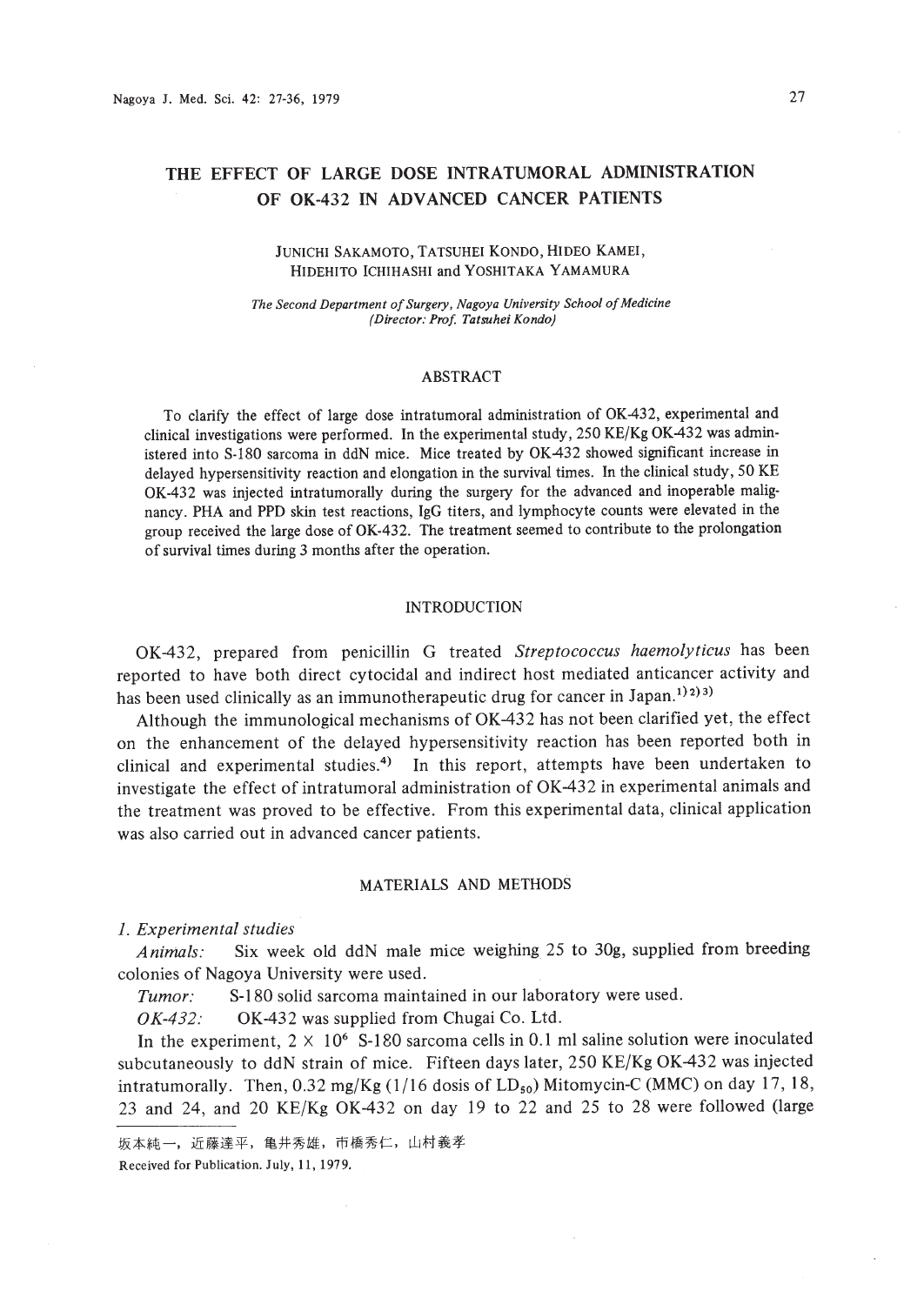# THE EFFECT OF LARGE DOSE INTRATUMORAL ADMINISTRATION OF OK-432 IN ADVANCED CANCER PATIENTS

### JUNICHI SAKAMOTO, TATSUHEI KONDO, HIDEO KAMEl, HIDEHITO ICHlHASHl and YOSHITAKA YAMAMURA

*The Second Department ofSurgery, Nagoya University School ofMedicine (Director: Prof. Tatsuhei Kondo)*

#### ABSTRACT

To clarify the effect of large dose intratumoral administration of OK-432, experimental and clinical investigations were perfonned. In the experimental study, 250 KE/Kg OK-432 was administered into S-180 sarcoma in ddN mice. Mice treated by OK-432 showed significant increase in delayed hypersensitivity reaction and elongation in the survival times. In the clinical study, 50 KE OK-432 was injected intratumorally during the surgery for the advanced and inoperable malignancy. PHA and PPD skin test reactions, IgG titers, and lymphocyte counts were elevated in the group received the large dose of OK-432. The treatment seemed to contribute to the prolongation of survival times during 3 months after the operation.

## INTRODUCTION

OK-432, prepared from penicillin G treated *Streptococcus haemolyticus* has been reported to have both direct cytocidal and indirect host mediated anticancer activity and has been used clinically as an immunotherapeutic drug for cancer in Japan.<sup>1)2)3)</sup>

Although the immunological mechanisms of OK-432 has not been clarified yet, the effect on the enhancement of the delayed hypersensitivity reaction has been reported both in clinical and experimental studies.<sup>4</sup> In this report, attempts have been undertaken to investigate the effect of intratumoral administration of OK-432 in experimental animals and the treatment was proved to be effective. From this experimental data, clinical application was also carried out in advanced cancer patients.

# MATERIALS AND METHODS

*1. Experimental studies*

*Animals:* Six week old ddN male mice weighing 25 to 30g, supplied from breeding colonies of Nagoya University were used.

*Tumor:* S-180 solid sarcoma maintained in our laboratory were used.

OK-432: OK-432 was supplied from Chugai Co. Ltd.

In the experiment,  $2 \times 10^6$  S-180 sarcoma cells in 0.1 ml saline solution were inoculated subcutaneously to ddN strain of mice. Fifteen days later, 250 KE/Kg OK-432 was injected intratumorally. Then,  $0.32 \text{ mg/Kg}$  (1/16 dosis of  $LD_{50}$ ) Mitomycin-C (MMC) on day 17, 18, 23 and 24, and 20 KE/Kg OK-432 on day 19 to 22 and 25 to 28 were followed (large

坂本純一, 近藤達平, 亀井秀雄, 市橋秀仁, 山村義孝 Received for Publication. July. 11, 1979.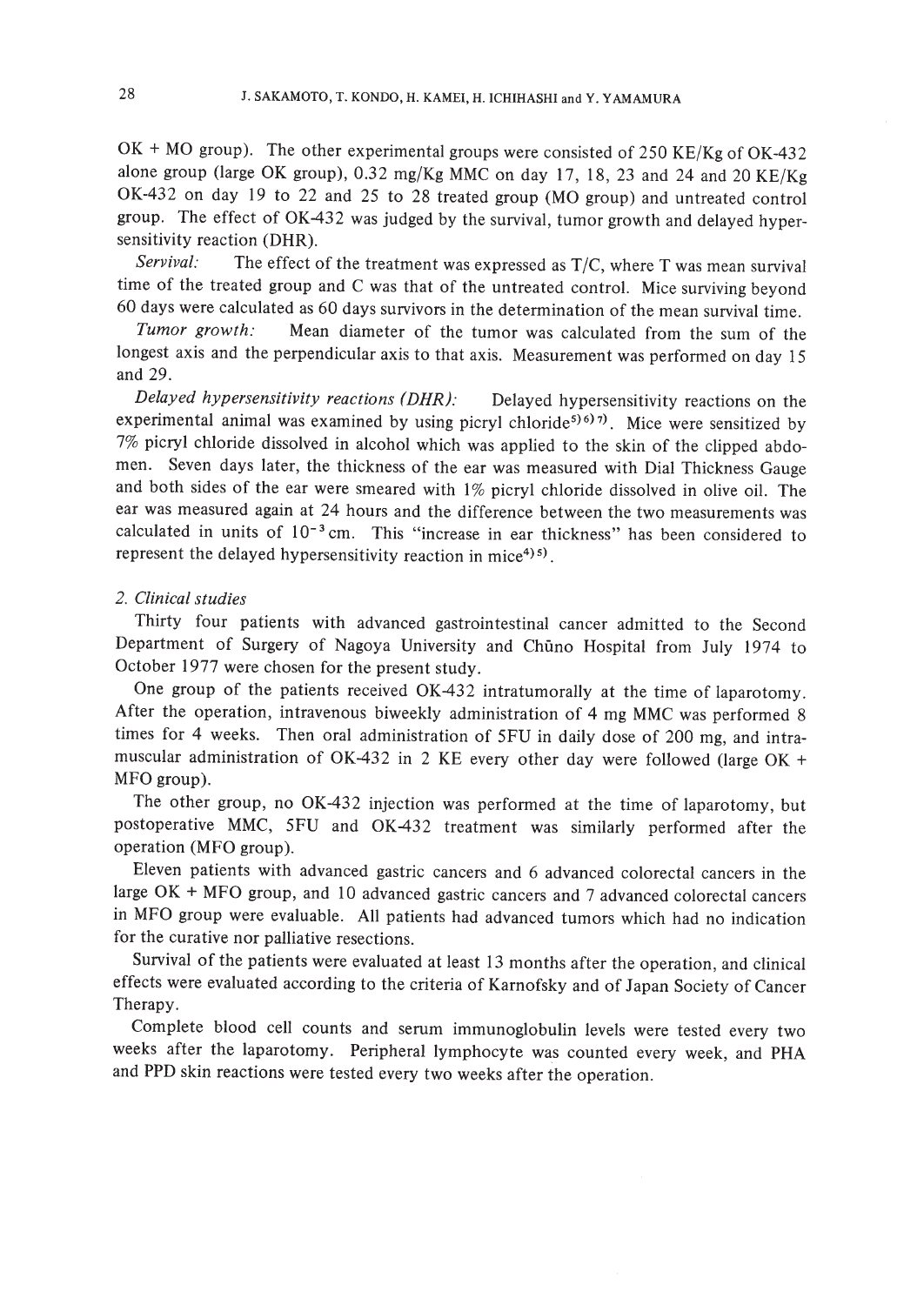$OK + MO$  group). The other experimental groups were consisted of 250 KE/Kg of OK-432 alone group (large OK group), 0.32 mg/Kg MMC on day 17, 18,23 and 24 and 20 KE/Kg OK-432 on day 19 to 22 and 25 to 28 treated group (MO group) and untreated control group. The effect of OK-432 was judged by the survival, tumor growth and delayed hypersensitivity reaction (DHR).

*Servival:* The effect of the treatment was expressed as *TIC,* where T was mean survival time of the treated group and C was that of the untreated control. Mice surviving beyond 60 days were calculated as 60 days survivors in the determination of the mean survival time.

*Tumor growth:* Mean diameter of the tumor was calculated from the sum of the longest axis and the perpendicular axis to that axis. Measurement was performed on day 15 and 29.

*Delayed hypersensitivity reactions (DHR):* Delayed hypersensitivity reactions on the experimental animal was examined by using picryl chloride<sup>5) 6)</sup> 7). Mice were sensitized by 7% picryl chloride dissolved in alcohol which was applied to the skin of the clipped abdomen. Seven days later, the thickness of the ear was measured with Dial Thickness Gauge and both sides of the ear were smeared with I% picryl chloride dissolved in olive oil. The ear was measured again at 24 hours and the difference between the two measurements was calculated in units of  $10^{-3}$  cm. This "increase in ear thickness" has been considered to represent the delayed hypersensitivity reaction in mice $4$ <sup>95</sup>).

### *2. Clinical studies*

Thirty four patients with advanced gastrointestinal cancer admitted to the Second Department of Surgery of Nagoya University and Chimo Hospital from July 1974 to October 1977 were chosen for the present study.

One group of the patients received OK-432 intratumorally at the time of laparotomy. After the operation, intravenous biweekly administration of 4 mg MMC was performed 8 times for 4 weeks. Then oral administration of 5FU in daily dose of 200 mg, and intramuscular administration of OK-432 in 2 KE every other day were followed (large OK + MFO group).

The other group, no OK-432 injection was performed at the time of laparotomy, but postoperative MMC, 5FU and OK-432 treatment was similarly performed after the operation (MFO group).

Eleven patients with advanced gastric cancers and 6 advanced colorectal cancers in the large OK + MFO group, and 10 advanced gastric cancers and 7 advanced colorectal cancers in MFO group were evaluable. All patients had advanced tumors which had no indication for the curative nor palliative resections.

Survival of the patients were evaluated at least 13 months after the operation, and clinical effects were evaluated according to the criteria of Karnofsky and of Japan Society of Cancer Therapy.

Complete blood cell counts and serum immunoglobulin levels were tested every two weeks after the laparotomy. Peripheral lymphocyte was counted every week, and PHA and PPD skin reactions were tested every two weeks after the operation.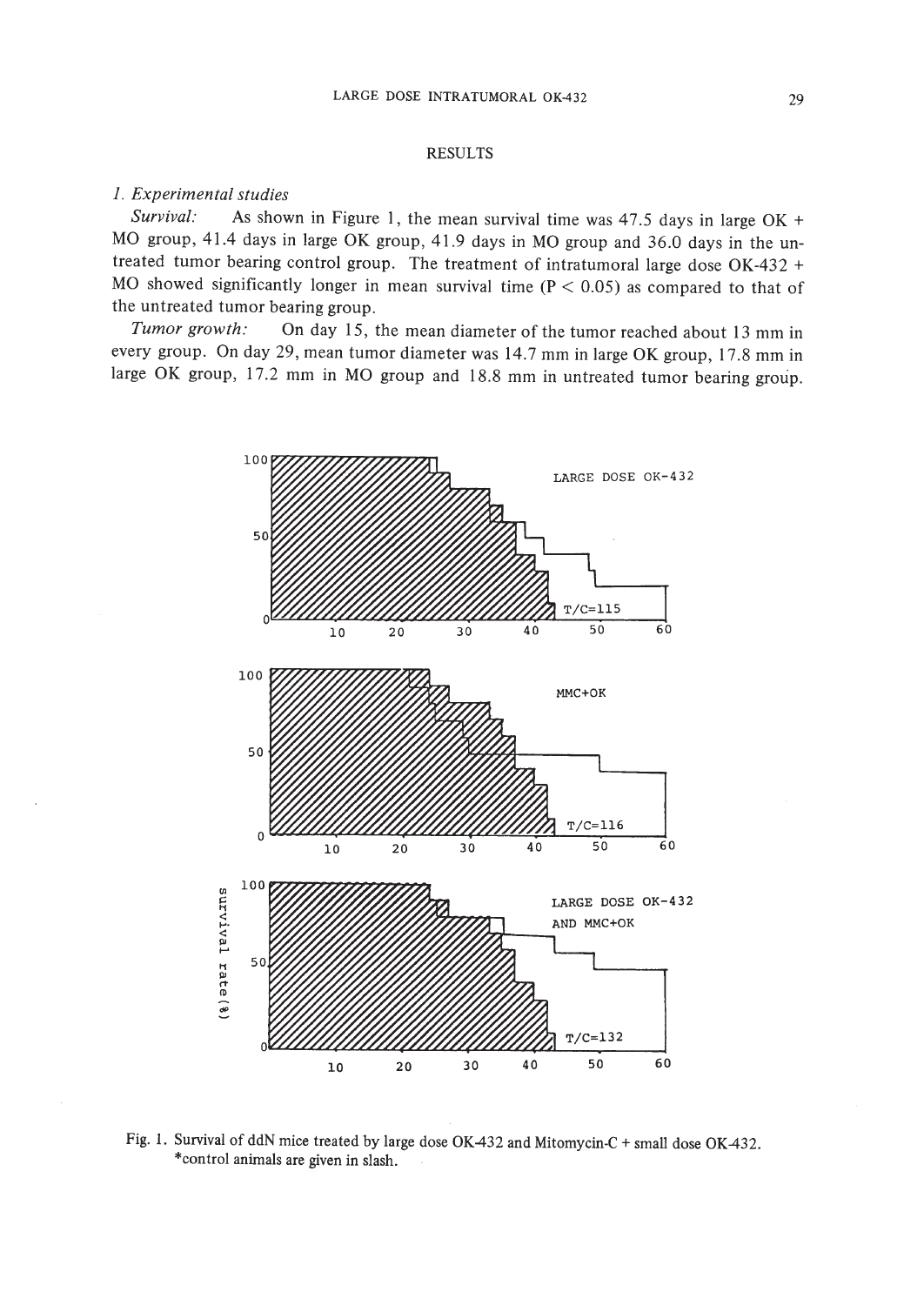### RESULTS

# *1. Experimental studies*

*Survival:* As shown in Figure I, the mean survival time was 47.5 days in large OK + MO group, 41.4 days in large OK group, 41.9 days in MO group and 36.0 days in the untreated tumor bearing control group. The treatment of intratumoral large dose OK-432 + MO showed significantly longer in mean survival time  $(P < 0.05)$  as compared to that of the untreated tumor bearing group.

*Tumor growth:* On day 15, the mean diameter of the tumor reached about 13 mm in every group. On day 29, mean tumor diameter was 14.7 mm in large OK group, 17.8 mm in large OK group, 17.2 mm in MO group and 18.8 mm in untreated tumor bearing group.



Fig. 1. Survival of ddN mice treated by large dose OK432 and Mitomycin-C + small dose OK432. \*contro1 animals are given in slash.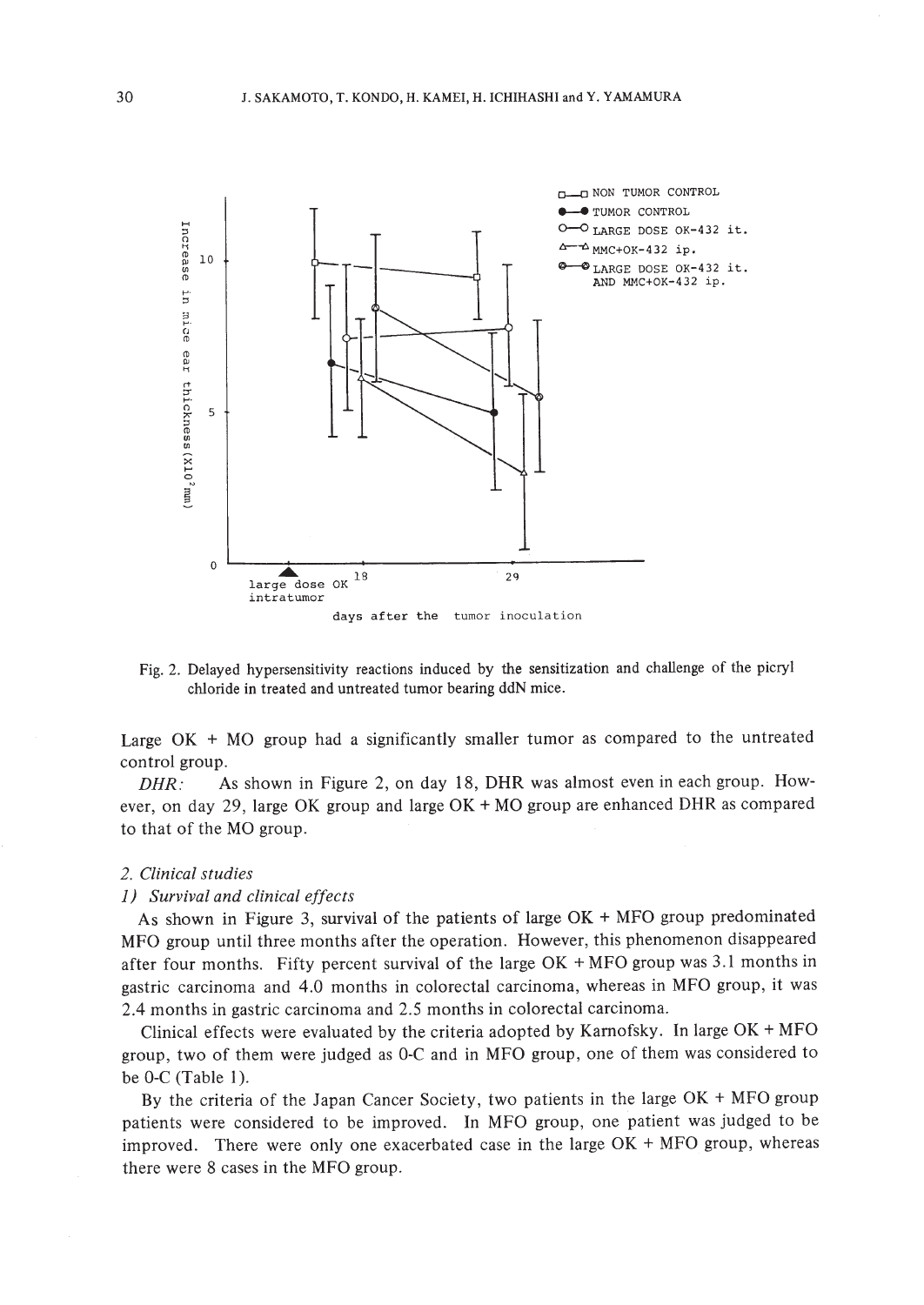

Fig. 2. Delayed hypersensitivity reactions induced by the sensitization and challenge of the picryl chloride in treated and untreated tumor bearing ddN mice.

Large OK + MO group had a significantly smaller tumor as compared to the untreated control group.

 $DHR:$  As shown in Figure 2, on day 18, DHR was almost even in each group. However, on day 29, large OK group and large OK + MO group are enhanced DHR as compared to that of the MO group.

#### *2. Clinical studies*

#### *1) Survival and clinical effects*

As shown in Figure 3, survival of the patients of large OK + MFO group predominated MFO group until three months after the operation. However, this phenomenon disappeared after four months. Fifty percent survival of the large OK + MFO group was 3.1 months in gastric carcinoma and 4.0 months in colorectal carcinoma, whereas in MFO group, it was 2.4 months in gastric carcinoma and 2.5 months in colorectal carcinoma.

Clinical effects were evaluated by the criteria adopted by Karnofsky. In large  $OK + MFO$ group, two of them were judged as O-C and in MFO group, one of them was considered to be O-C (Table 1).

By the criteria of the Japan Cancer Society, two patients in the large OK + MFO group patients were considered to be improved. In MFO group, one patient was judged to be improved. There were only one exacerbated case in the large OK + MFO group, whereas there were 8 cases in the MFO group.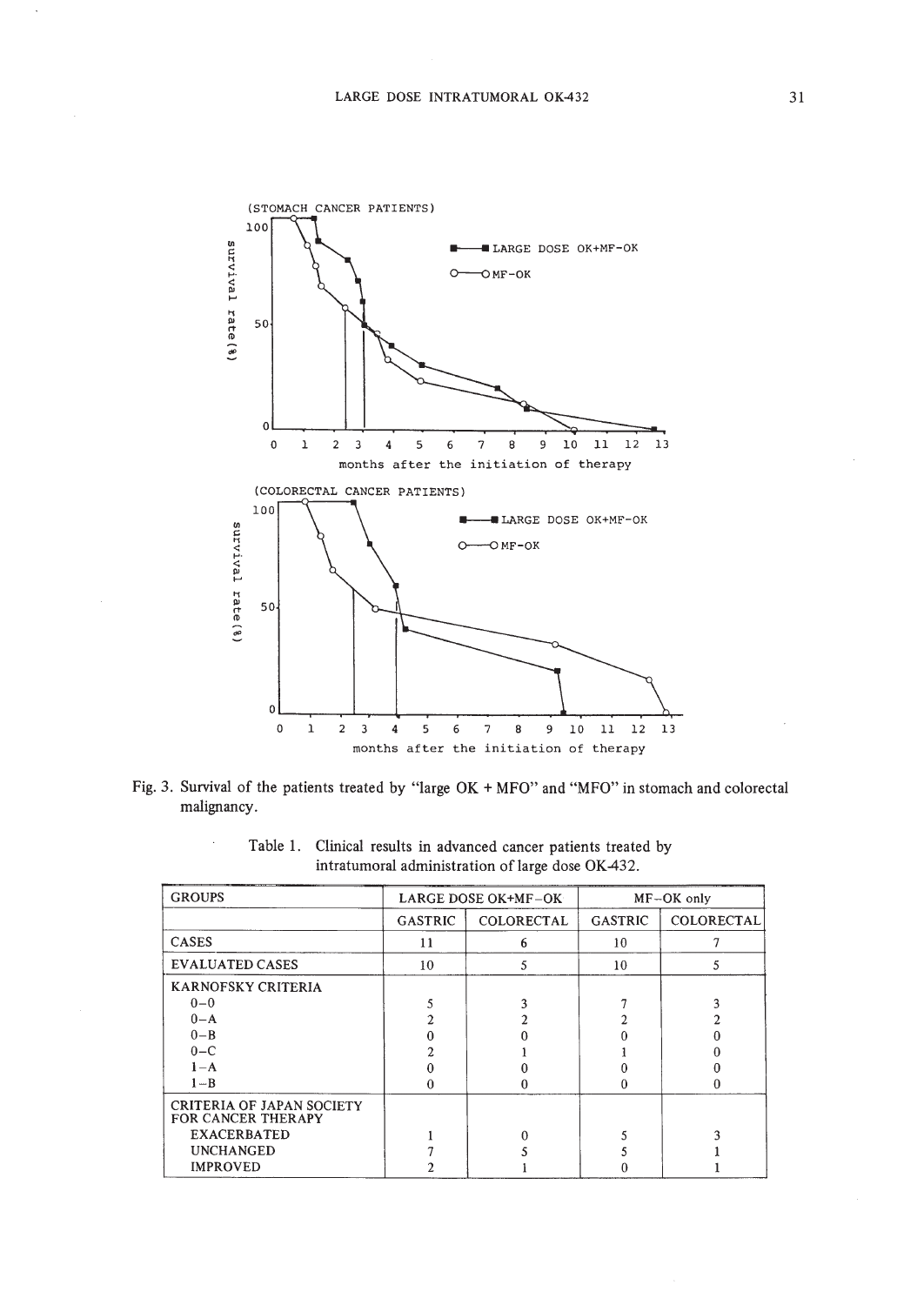

Fig. 3. Survival of the patients treated by "large OK + MFO" and "MFO" in stomach and colorectal malignancy.

| <b>GROUPS</b>                                                 | LARGE DOSE OK+MF-OK |                   | MF-OK only     |            |
|---------------------------------------------------------------|---------------------|-------------------|----------------|------------|
|                                                               | <b>GASTRIC</b>      | <b>COLORECTAL</b> | <b>GASTRIC</b> | COLORECTAL |
| CASES                                                         | 11                  | 6                 | 10             |            |
| <b>EVALUATED CASES</b>                                        | 10                  | 5                 | 10             | 5          |
| <b>KARNOFSKY CRITERIA</b>                                     |                     |                   |                |            |
| $0 - 0$                                                       |                     |                   |                |            |
| $0 - A$                                                       |                     |                   |                |            |
| $0 - B$                                                       |                     |                   |                |            |
| $0-C$                                                         |                     |                   |                |            |
| $1-A$                                                         |                     |                   |                |            |
| $1 - B$                                                       |                     | 0                 |                | 0          |
| <b>CRITERIA OF JAPAN SOCIETY</b><br><b>FOR CANCER THERAPY</b> |                     |                   |                |            |
| <b>EXACERBATED</b>                                            |                     |                   |                |            |
| <b>UNCHANGED</b>                                              |                     |                   |                |            |
| <b>IMPROVED</b>                                               |                     |                   |                |            |

Table 1. Clinical results in advanced cancer patients treated by intratumoral administration of large dose OK-432.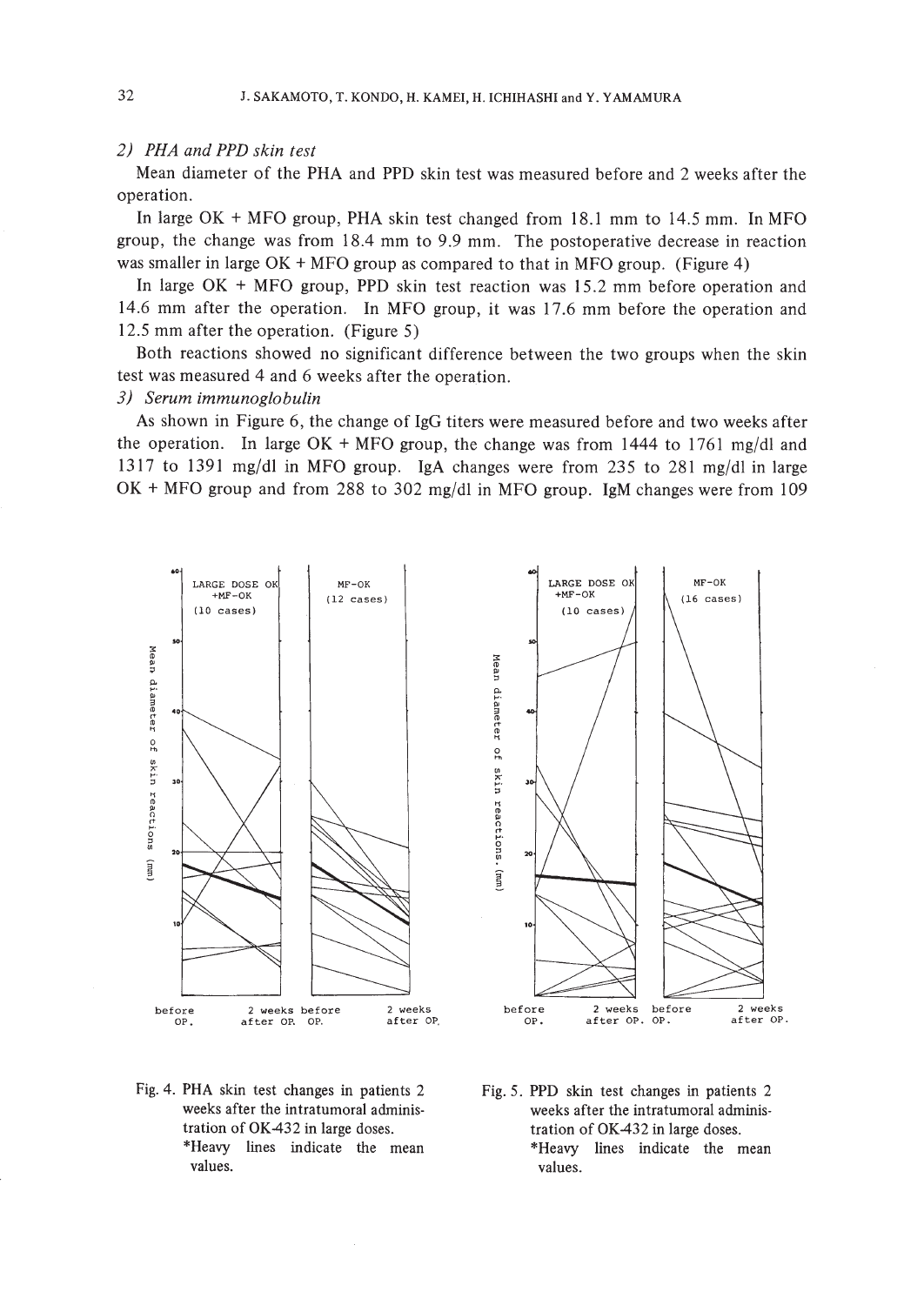### *2) PHA and PPD skin test*

Mean diameter of the PHA and PPD skin test was measured before and 2 weeks after the operation.

In large OK + MFO group, PHA skin test changed from 18.1 mm to 14.5 mm. In MFO group, the change was from 18.4 mm to 9.9 mm. The postoperative decrease in reaction was smaller in large OK + MFO group as compared to that in MFO group. (Figure 4)

In large OK + MFO group, PPD skin test reaction was 15.2 mm before operation and 14.6 mm after the operation. In MFO group, it was 17.6 mm before the operation and 12.5 mm after the operation. (Figure 5)

Both reactions showed no significant difference between the two groups when the skin test was measured 4 and 6 weeks after the operation.

# *3) Serum immunoglobulin*

As shown in Figure 6, the change of IgG titers were measured before and two weeks after the operation. In large  $OK + MFO$  group, the change was from 1444 to 1761 mg/dl and 1317 to 1391 mg/dl in MFO group. IgA changes were from 235 to 281 mg/dl in large OK + MFO group and from 288 to 302 mg/dl in MFO group. IgM changes were from 109





LARGE DOSE OK  $+MF-OK$  $(10 \text{ cases})$ 

MF-OK **(16 cases)**

- Fig. 4. PHA skin test changes in patients 2 weeks after the intratumoral administration of OK432 in large doses. \*Heavy lines indicate the mean values.
- Fig. 5. PPD skin test changes in patients 2 weeks after the intratumoral administration of OK432 in large doses. \*Heavy lines indicate the mean values.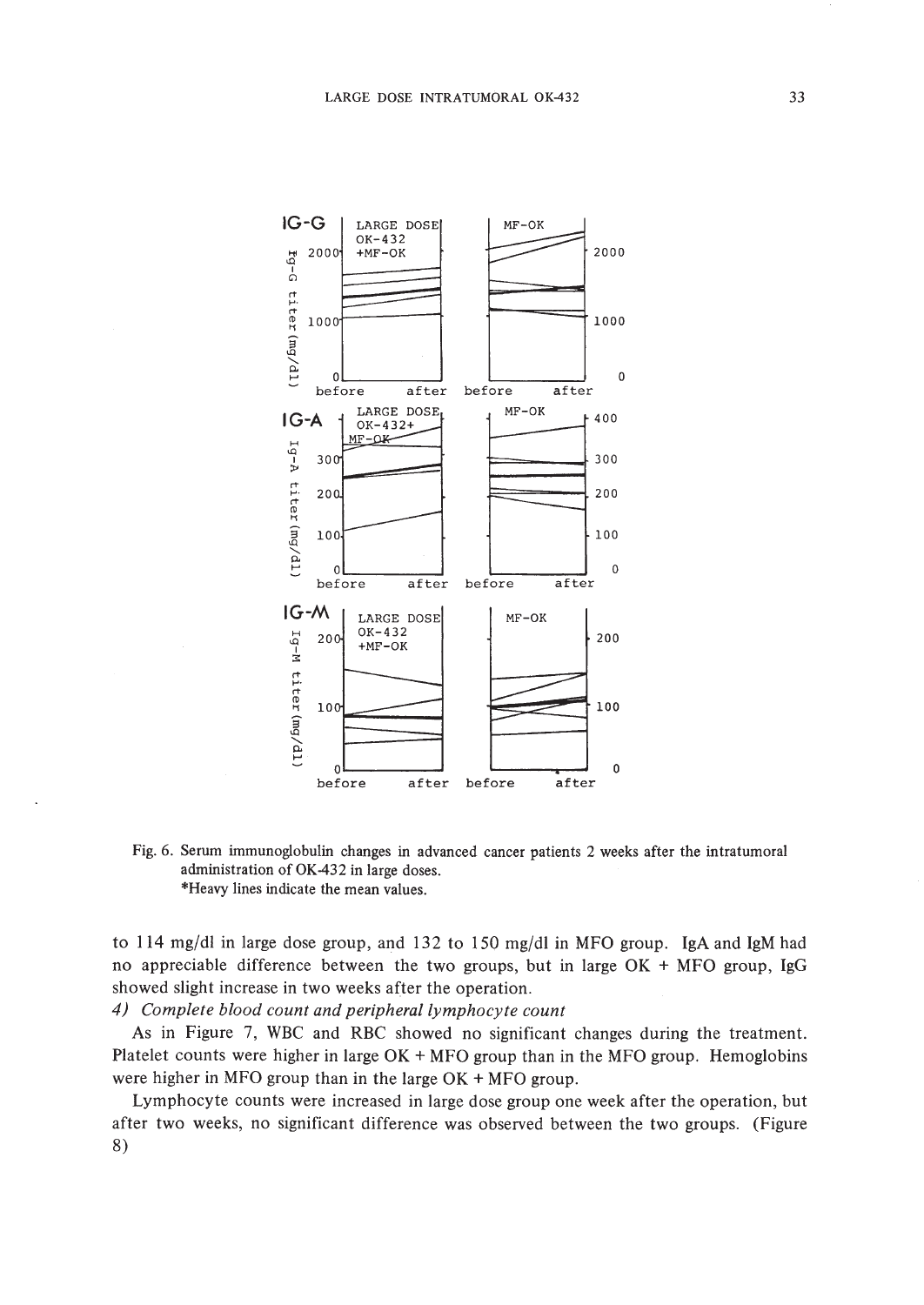

Fig. 6. Serum immunoglobulin changes in advanced cancer patients 2 weeks after the intratumoral administration of OK-432 in large doses. \*Heavy lines indicate the mean values.

to 114 mg/dl in large dose group, and 132 to 150 mg/dl in MFO group. IgA and IgM had no appreciable difference between the two groups, but in large OK + MFO group, IgG showed slight increase in two weeks after the operation.

*4) Complete blood count and peripheral lymphocyte count*

As in Figure 7, WBC and RBC showed no significant changes during the treatment. Platelet counts were higher in large OK + MFO group than in the MFO group. Hemoglobins were higher in MFO group than in the large OK + MFO group.

Lymphocyte counts were increased in large dose group one week after the operation, but after two weeks, no significant difference was observed between the two groups. (Figure 8)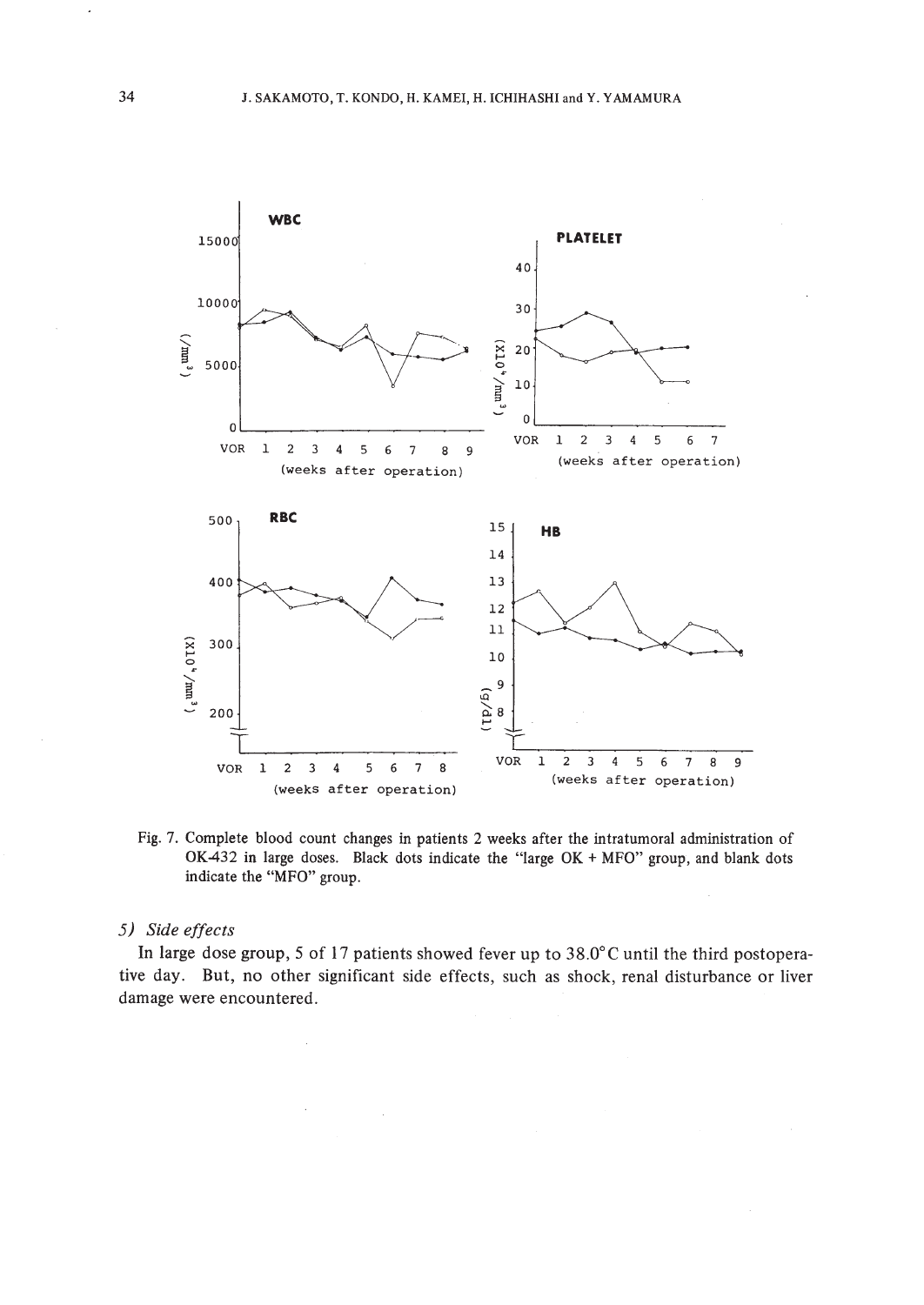

Fig. 7. Complete blood count changes in patients 2 weeks after the intratumoral administration of OK-432 in large doses. Black dots indicate the "large OK + MFO" group, and blank dots indicate the "MFO" group.

# *5) Side effects*

In large dose group, 5 of 17 patients showed fever up to 38.0°C until the third postoperative day. But, no other significant side effects, such as shock, renal disturbance or liver damage were encountered.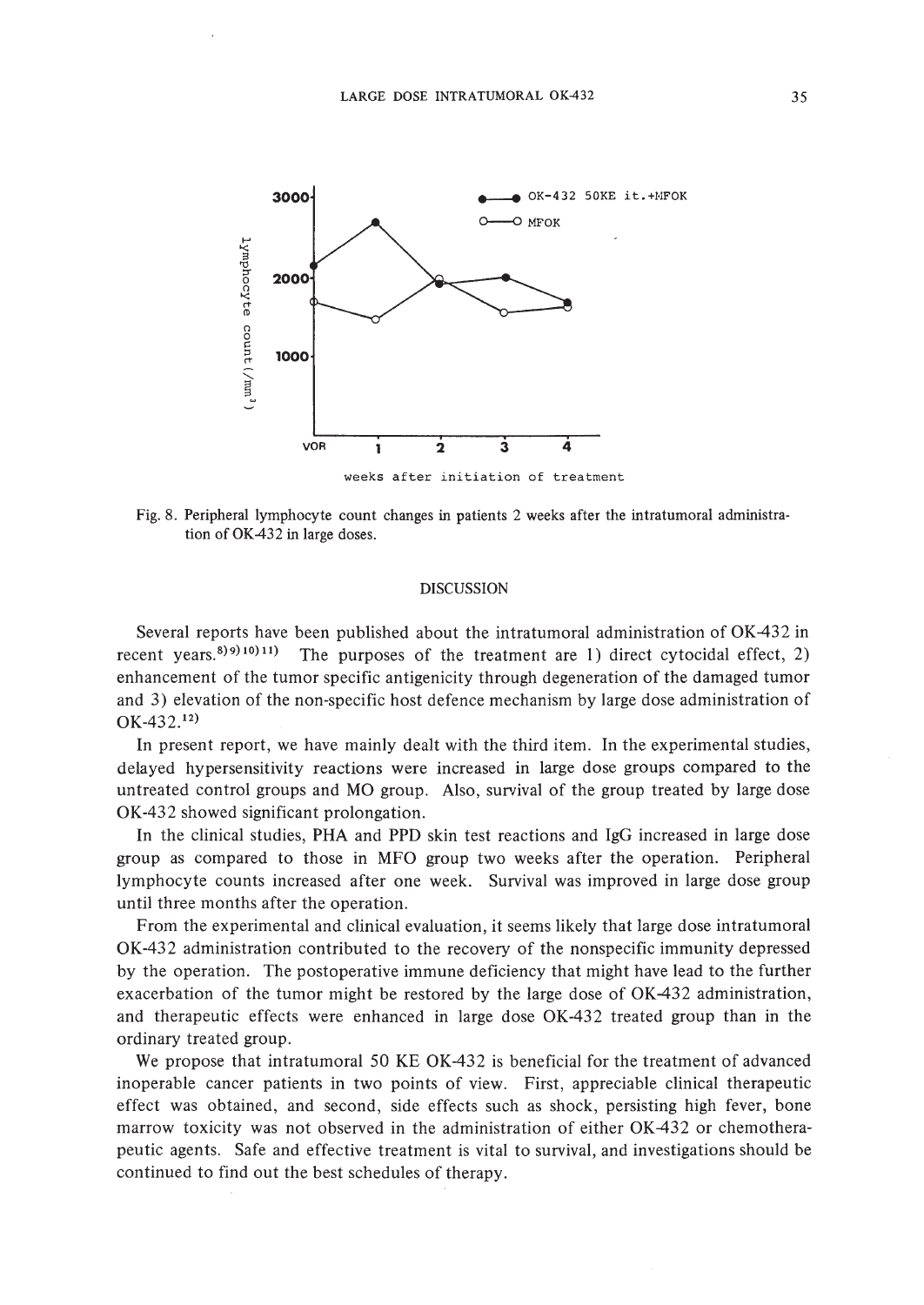

Fig. 8. Peripheral lymphocyte count changes in patients 2 weeks after the intratumoral administration of OK432 in large doses.

### **DISCUSSION**

Several reports have been published about the intratumoral administration of OK-432 in recent years.<sup>8)9)10</sup><sup>11</sup>) The purposes of the treatment are 1) direct cytocidal effect, 2) enhancement of the tumor specific antigenicity through degeneration of the damaged tumor and 3) elevation of the non-specific host defence mechanism by large dose administration of  $OK-432.<sup>12</sup>$ 

In present report, we have mainly dealt with the third item. In the experimental studies, delayed hypersensitivity reactions were increased in large dose groups compared to the untreated control groups and MO group. Also, survival of the group treated by large dose OK-432 showed significant prolongation.

In the clinical studies, PHA and PPD skin test reactions and IgG increased in large dose group as compared to those in MFO group two weeks after the operation. Peripheral lymphocyte counts increased after one week. Survival was improved in large dose group until three months after the operation.

From the experimental and clinical evaluation, it seems likely that large dose intratumoral OK-432 administration contributed to the recovery of the nonspecific immunity depressed by the operation. The postoperative immune deficiency that might have lead to the further exacerbation of the tumor might be restored by the large dose of OK-432 administration, and therapeutic effects were enhanced in large dose OK-432 treated group than in the ordinary treated group.

We propose that intratumoral 50 KE OK-432 is beneficial for the treatment of advanced inoperable cancer patients in two points of view. First, appreciable clinical therapeutic effect was obtained, and second, side effects such as shock, persisting high fever, bone marrow toxicity was not observed in the administration of either OK-432 or chemotherapeutic agents. Safe and effective treatment is vital to survival, and investigations should be continued to find out the best schedules of therapy.